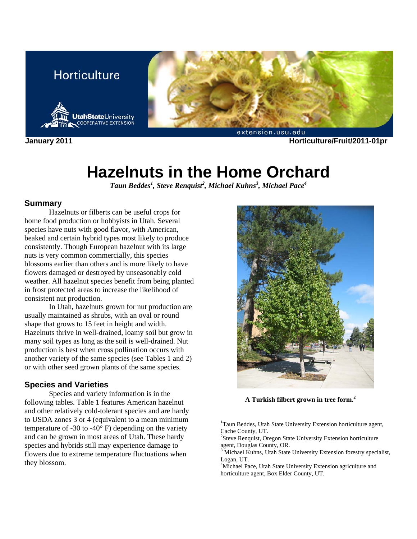## **Horticulture**





**January 2011 Horticulture/Fruit/2011-01pr** 

# **Hazelnuts in the Home Orchard**

*Taun Beddes1 , Steve Renquist<sup>2</sup> , Michael Kuhns3 , Michael Pace4*

#### **Summary**

Hazelnuts or filberts can be useful crops for home food production or hobbyists in Utah. Several species have nuts with good flavor, with American, beaked and certain hybrid types most likely to produce consistently. Though European hazelnut with its large nuts is very common commercially, this species blossoms earlier than others and is more likely to have flowers damaged or destroyed by unseasonably cold weather. All hazelnut species benefit from being planted in frost protected areas to increase the likelihood of consistent nut production.

In Utah, hazelnuts grown for nut production are usually maintained as shrubs, with an oval or round shape that grows to 15 feet in height and width. Hazelnuts thrive in well-drained, loamy soil but grow in many soil types as long as the soil is well-drained. Nut production is best when cross pollination occurs with another variety of the same species (see Tables 1 and 2) or with other seed grown plants of the same species.

#### **Species and Varieties**

Species and variety information is in the following tables. Table 1 features American hazelnut and other relatively cold-tolerant species and are hardy to USDA zones 3 or 4 (equivalent to a mean minimum temperature of -30 to -40 $^{\circ}$  F) depending on the variety and can be grown in most areas of Utah. These hardy species and hybrids still may experience damage to flowers due to extreme temperature fluctuations when they blossom.



**A Turkish filbert grown in tree form.<sup>2</sup>**

<sup>1</sup>Taun Beddes, Utah State University Extension horticulture agent, Cache County, UT.

2 Steve Renquist, Oregon State University Extension horticulture agent, Douglas County, OR.

<sup>3</sup> Michael Kuhns, Utah State University Extension forestry specialist, Logan, UT.

<sup>4</sup>Michael Pace, Utah State University Extension agriculture and horticulture agent, Box Elder County, UT.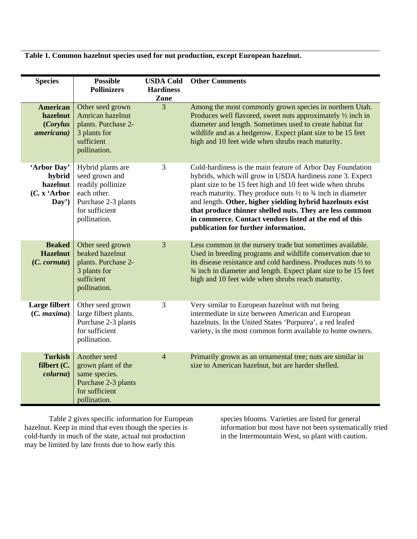**Table 1. Common hazelnut species used for nut production, except European hazelnut.** 

| <b>Species</b>                                                | <b>Possible</b><br><b>Pollinizers</b>                                                                                            | <b>USDA Cold</b><br><b>Hardiness</b><br>Zone | <b>Other Comments</b>                                                                                                                                                                                                                                                                                                                                                                                                                                                                                |
|---------------------------------------------------------------|----------------------------------------------------------------------------------------------------------------------------------|----------------------------------------------|------------------------------------------------------------------------------------------------------------------------------------------------------------------------------------------------------------------------------------------------------------------------------------------------------------------------------------------------------------------------------------------------------------------------------------------------------------------------------------------------------|
| <b>American</b><br>hazelnut<br>(Corylus<br><i>americana</i> ) | Other seed grown<br>Amrican hazelnut<br>plants. Purchase 2-<br>3 plants for<br>sufficient<br>pollination.                        | 3                                            | Among the most commonly grown species in northern Utah.<br>Produces well flavored, sweet nuts approximately 1/2 inch in<br>diameter and length. Sometimes used to create habitat for<br>wildlife and as a hedgerow. Expect plant size to be 15 feet<br>high and 10 feet wide when shrubs reach maturity.                                                                                                                                                                                             |
| 'Arbor Day'<br>hybrid<br>hazelnut<br>(C. x 'Arbor<br>Day')    | Hybrid plants are<br>seed grown and<br>readily pollinize<br>each other.<br>Purchase 2-3 plants<br>for sufficient<br>pollination. | 3                                            | Cold-hardiness is the main feature of Arbor Day Foundation<br>hybrids, which will grow in USDA hardiness zone 3. Expect<br>plant size to be 15 feet high and 10 feet wide when shrubs<br>reach maturity. They produce nuts $\frac{1}{2}$ to $\frac{3}{4}$ inch in diameter<br>and length. Other, higher yielding hybrid hazelnuts exist<br>that produce thinner shelled nuts. They are less common<br>in commerce. Contact vendors listed at the end of this<br>publication for further information. |
| <b>Beaked</b><br><b>Hazelnut</b><br>$(C.$ cornuta)            | Other seed grown<br>beaked hazelnut<br>plants. Purchase 2-<br>3 plants for<br>sufficient<br>pollination.                         | 3                                            | Less common in the nursery trade but sometimes available.<br>Used in breeding programs and wildlife conservation due to<br>its disease resistance and cold hardiness. Produces nuts 1/2 to<br>3⁄4 inch in diameter and length. Expect plant size to be 15 feet<br>high and 10 feet wide when shrubs reach maturity.                                                                                                                                                                                  |
| Large filbert<br>(C. maxima)                                  | Other seed grown<br>large filbert plants.<br>Purchase 2-3 plants<br>for sufficient<br>pollination.                               | 3                                            | Very similar to European hazelnut with nut being<br>intermediate in size between American and European<br>hazelnuts. In the United States 'Purpurea', a red leafed<br>variety, is the most common form available to home owners.                                                                                                                                                                                                                                                                     |
| <b>Turkish</b><br>filbert $(C.$<br><i>colurna</i> )           | Another seed<br>grown plant of the<br>same species.<br>Purchase 2-3 plants<br>for sufficient<br>pollination.                     | $\overline{4}$                               | Primarily grown as an ornamental tree; nuts are similar in<br>size to American hazelnut, but are harder shelled.                                                                                                                                                                                                                                                                                                                                                                                     |

Table 2 gives specific information for European hazelnut. Keep in mind that even though the species is cold-hardy in much of the state, actual nut production may be limited by late frosts due to how early this

species blooms. Varieties are listed for general information but most have not been systematically tried in the Intermountain West, so plant with caution.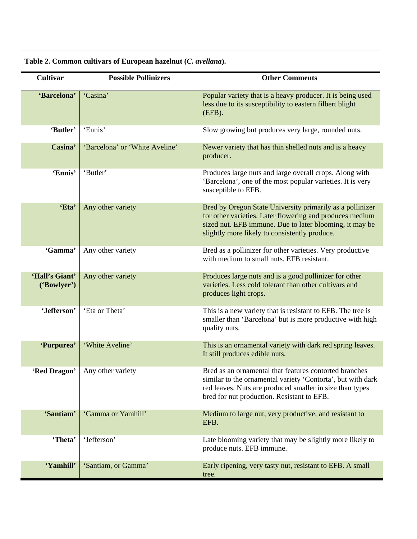| <b>Cultivar</b>               | <b>Possible Pollinizers</b>    | <b>Other Comments</b>                                                                                                                                                                                                             |
|-------------------------------|--------------------------------|-----------------------------------------------------------------------------------------------------------------------------------------------------------------------------------------------------------------------------------|
| 'Barcelona'                   | 'Casina'                       | Popular variety that is a heavy producer. It is being used<br>less due to its susceptibility to eastern filbert blight<br>(EFB).                                                                                                  |
| 'Butler'                      | 'Ennis'                        | Slow growing but produces very large, rounded nuts.                                                                                                                                                                               |
| Casina'                       | 'Barcelona' or 'White Aveline' | Newer variety that has thin shelled nuts and is a heavy<br>producer.                                                                                                                                                              |
| 'Ennis'                       | 'Butler'                       | Produces large nuts and large overall crops. Along with<br>'Barcelona', one of the most popular varieties. It is very<br>susceptible to EFB.                                                                                      |
| 'Eta'                         | Any other variety              | Bred by Oregon State University primarily as a pollinizer<br>for other varieties. Later flowering and produces medium<br>sized nut. EFB immune. Due to later blooming, it may be<br>slightly more likely to consistently produce. |
| 'Gamma'                       | Any other variety              | Bred as a pollinizer for other varieties. Very productive<br>with medium to small nuts. EFB resistant.                                                                                                                            |
| 'Hall's Giant'<br>('Bowlyer') | Any other variety              | Produces large nuts and is a good pollinizer for other<br>varieties. Less cold tolerant than other cultivars and<br>produces light crops.                                                                                         |
| 'Jefferson'                   | 'Eta or Theta'                 | This is a new variety that is resistant to EFB. The tree is<br>smaller than 'Barcelona' but is more productive with high<br>quality nuts.                                                                                         |
| 'Purpurea'                    | 'White Aveline'                | This is an ornamental variety with dark red spring leaves.<br>It still produces edible nuts.                                                                                                                                      |
| 'Red Dragon'                  | Any other variety              | Bred as an ornamental that features contorted branches<br>similar to the ornamental variety 'Contorta', but with dark<br>red leaves. Nuts are produced smaller in size than types<br>bred for nut production. Resistant to EFB.   |
| 'Santiam'                     | 'Gamma or Yamhill'             | Medium to large nut, very productive, and resistant to<br>EFB.                                                                                                                                                                    |
| 'Theta'                       | 'Jefferson'                    | Late blooming variety that may be slightly more likely to<br>produce nuts. EFB immune.                                                                                                                                            |
| 'Yamhill'                     | 'Santiam, or Gamma'            | Early ripening, very tasty nut, resistant to EFB. A small<br>tree.                                                                                                                                                                |

**Table 2. Common cultivars of European hazelnut (***C. avellana***).**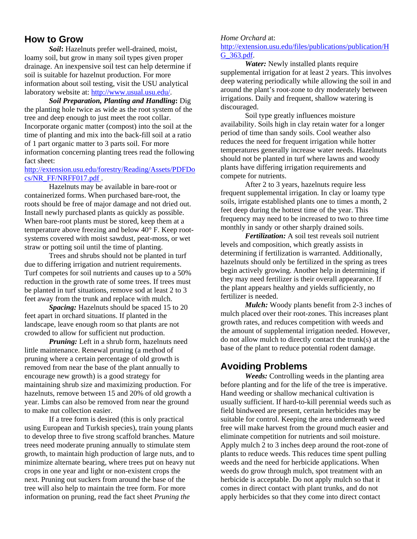## **How to Grow**

*Soil***:** Hazelnuts prefer well-drained, moist, loamy soil, but grow in many soil types given proper drainage. An inexpensive soil test can help determine if soil is suitable for hazelnut production. For more information about soil testing, visit the USU analytical laboratory website at: http://www.usual.usu.edu/.

*Soil Preparation, Planting and Handling***:** Dig the planting hole twice as wide as the root system of the tree and deep enough to just meet the root collar. Incorporate organic matter (compost) into the soil at the time of planting and mix into the back-fill soil at a ratio of 1 part organic matter to 3 parts soil. For more information concerning planting trees read the following fact sheet:

#### http://extension.usu.edu/forestry/Reading/Assets/PDFDo cs/NR\_FF/NRFF017.pdf .

Hazelnuts may be available in bare-root or containerized forms. When purchased bare-root, the roots should be free of major damage and not dried out. Install newly purchased plants as quickly as possible. When bare-root plants must be stored, keep them at a temperature above freezing and below 40° F. Keep rootsystems covered with moist sawdust, peat-moss, or wet straw or potting soil until the time of planting.

Trees and shrubs should not be planted in turf due to differing irrigation and nutrient requirements. Turf competes for soil nutrients and causes up to a 50% reduction in the growth rate of some trees. If trees must be planted in turf situations, remove sod at least 2 to 3 feet away from the trunk and replace with mulch.

*Spacing:* Hazelnuts should be spaced 15 to 20 feet apart in orchard situations. If planted in the landscape, leave enough room so that plants are not crowded to allow for sufficient nut production.

*Pruning:* Left in a shrub form, hazelnuts need little maintenance. Renewal pruning (a method of pruning where a certain percentage of old growth is removed from near the base of the plant annually to encourage new growth) is a good strategy for maintaining shrub size and maximizing production. For hazelnuts, remove between 15 and 20% of old growth a year. Limbs can also be removed from near the ground to make nut collection easier.

If a tree form is desired (this is only practical using European and Turkish species), train young plants to develop three to five strong scaffold branches. Mature trees need moderate pruning annually to stimulate stem growth, to maintain high production of large nuts, and to minimize alternate bearing, where trees put on heavy nut crops in one year and light or non-existent crops the next. Pruning out suckers from around the base of the tree will also help to maintain the tree form. For more information on pruning, read the fact sheet *Pruning the* 

#### *Home Orchard* at:

#### http://extension.usu.edu/files/publications/publication/H G\_363.pdf.

*Water:* Newly installed plants require supplemental irrigation for at least 2 years. This involves deep watering periodically while allowing the soil in and around the plant's root-zone to dry moderately between irrigations. Daily and frequent, shallow watering is discouraged.

Soil type greatly influences moisture availability. Soils high in clay retain water for a longer period of time than sandy soils. Cool weather also reduces the need for frequent irrigation while hotter temperatures generally increase water needs. Hazelnuts should not be planted in turf where lawns and woody plants have differing irrigation requirements and compete for nutrients.

After 2 to 3 years, hazelnuts require less frequent supplemental irrigation. In clay or loamy type soils, irrigate established plants one to times a month, 2 feet deep during the hottest time of the year. This frequency may need to be increased to two to three time monthly in sandy or other sharply drained soils.

*Fertilization:* A soil test reveals soil nutrient levels and composition, which greatly assists in determining if fertilization is warranted. Additionally, hazelnuts should only be fertilized in the spring as trees begin actively growing. Another help in determining if they may need fertilizer is their overall appearance. If the plant appears healthy and yields sufficiently, no fertilizer is needed.

*Mulch:* Woody plants benefit from 2-3 inches of mulch placed over their root-zones. This increases plant growth rates, and reduces competition with weeds and the amount of supplemental irrigation needed. However, do not allow mulch to directly contact the trunk(s) at the base of the plant to reduce potential rodent damage.

## **Avoiding Problems**

*Weeds:* Controlling weeds in the planting area before planting and for the life of the tree is imperative. Hand weeding or shallow mechanical cultivation is usually sufficient. If hard-to-kill perennial weeds such as field bindweed are present, certain herbicides may be suitable for control. Keeping the area underneath weed free will make harvest from the ground much easier and eliminate competition for nutrients and soil moisture. Apply mulch 2 to 3 inches deep around the root-zone of plants to reduce weeds. This reduces time spent pulling weeds and the need for herbicide applications. When weeds do grow through mulch, spot treatment with an herbicide is acceptable. Do not apply mulch so that it comes in direct contact with plant trunks, and do not apply herbicides so that they come into direct contact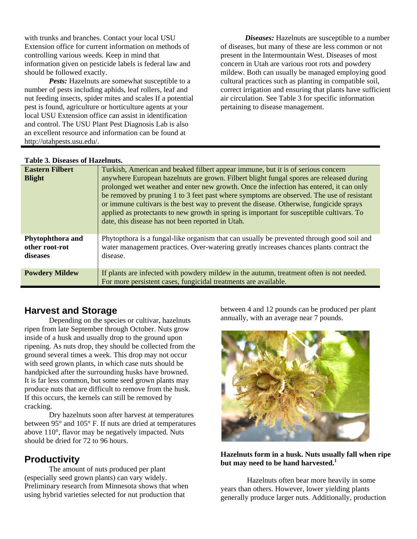with trunks and branches. Contact your local USU Extension office for current information on methods of controlling various weeds. Keep in mind that information given on pesticide labels is federal law and should be followed exactly.

*Pests:* Hazelnuts are somewhat susceptible to a number of pests including aphids, leaf rollers, leaf and nut feeding insects, spider mites and scales If a potential pest is found, agriculture or horticulture agents at your local USU Extension office can assist in identification and control. The USU Plant Pest Diagnosis Lab is also an excellent resource and information can be found at http://utahpests.usu.edu/.

*Diseases:* Hazelnuts are susceptible to a number of diseases, but many of these are less common or not present in the Intermountain West. Diseases of most concern in Utah are various root rots and powdery mildew. Both can usually be managed employing good cultural practices such as planting in compatible soil, correct irrigation and ensuring that plants have sufficient air circulation. See Table 3 for specific information pertaining to disease management.

#### **Table 3. Diseases of Hazelnuts.**

| <b>Eastern Filbert</b><br><b>Blight</b>        | Turkish, American and beaked filbert appear immune, but it is of serious concern<br>anywhere European hazelnuts are grown. Filbert blight fungal spores are released during<br>prolonged wet weather and enter new growth. Once the infection has entered, it can only<br>be removed by pruning 1 to 3 feet past where symptoms are observed. The use of resistant<br>or immune cultivars is the best way to prevent the disease. Otherwise, fungicide sprays<br>applied as protectants to new growth in spring is important for susceptible cultivars. To<br>date, this disease has not been reported in Utah. |
|------------------------------------------------|-----------------------------------------------------------------------------------------------------------------------------------------------------------------------------------------------------------------------------------------------------------------------------------------------------------------------------------------------------------------------------------------------------------------------------------------------------------------------------------------------------------------------------------------------------------------------------------------------------------------|
| Phytophthora and<br>other root-rot<br>diseases | Phytopthora is a fungal-like organism that can usually be prevented through good soil and<br>water management practices. Over-watering greatly increases chances plants contract the<br>disease.                                                                                                                                                                                                                                                                                                                                                                                                                |
| <b>Powdery Mildew</b>                          | If plants are infected with powdery mildew in the autumn, treatment often is not needed.<br>For more persistent cases, fungicidal treatments are available.                                                                                                                                                                                                                                                                                                                                                                                                                                                     |

## **Harvest and Storage**

Depending on the species or cultivar, hazelnuts ripen from late September through October. Nuts grow inside of a husk and usually drop to the ground upon ripening. As nuts drop, they should be collected from the ground several times a week. This drop may not occur with seed grown plants, in which case nuts should be handpicked after the surrounding husks have browned. It is far less common, but some seed grown plants may produce nuts that are difficult to remove from the husk. If this occurs, the kernels can still be removed by cracking.

 Dry hazelnuts soon after harvest at temperatures between 95° and 105° F. If nuts are dried at temperatures above 110°, flavor may be negatively impacted. Nuts should be dried for 72 to 96 hours.

## **Productivity**

The amount of nuts produced per plant (especially seed grown plants) can vary widely. Preliminary research from Minnesota shows that when using hybrid varieties selected for nut production that

between 4 and 12 pounds can be produced per plant annually, with an average near 7 pounds.



#### **Hazelnuts form in a husk. Nuts usually fall when ripe but may need to be hand harvested.1**

 Hazelnuts often bear more heavily in some years than others. However, lower yielding plants generally produce larger nuts. Additionally, production